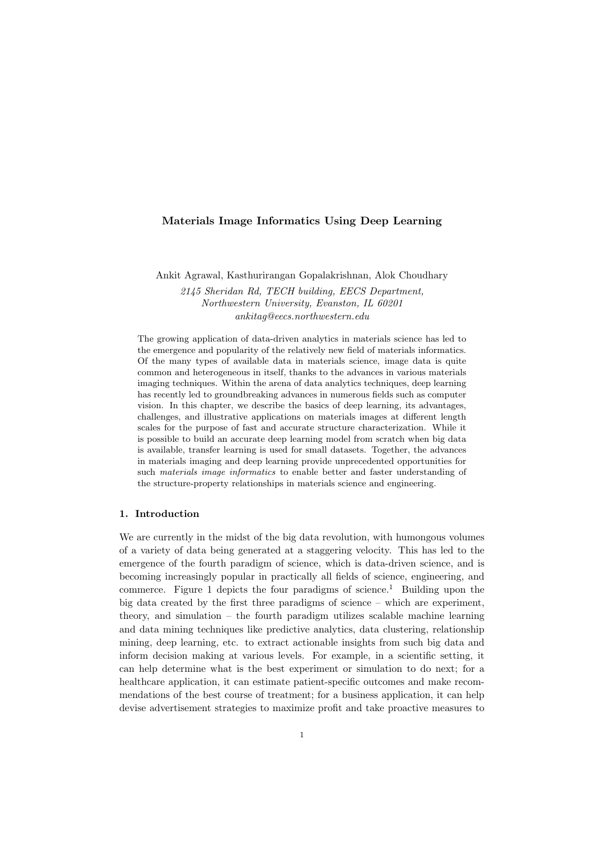# Materials Image Informatics Using Deep Learning

Ankit Agrawal, Kasthurirangan Gopalakrishnan, Alok Choudhary

2145 Sheridan Rd, TECH building, EECS Department, Northwestern University, Evanston, IL 60201 ankitag@eecs.northwestern.edu

The growing application of data-driven analytics in materials science has led to the emergence and popularity of the relatively new field of materials informatics. Of the many types of available data in materials science, image data is quite common and heterogeneous in itself, thanks to the advances in various materials imaging techniques. Within the arena of data analytics techniques, deep learning has recently led to groundbreaking advances in numerous fields such as computer vision. In this chapter, we describe the basics of deep learning, its advantages, challenges, and illustrative applications on materials images at different length scales for the purpose of fast and accurate structure characterization. While it is possible to build an accurate deep learning model from scratch when big data is available, transfer learning is used for small datasets. Together, the advances in materials imaging and deep learning provide unprecedented opportunities for such materials image informatics to enable better and faster understanding of the structure-property relationships in materials science and engineering.

# 1. Introduction

We are currently in the midst of the big data revolution, with humongous volumes of a variety of data being generated at a staggering velocity. This has led to the emergence of the fourth paradigm of science, which is data-driven science, and is becoming increasingly popular in practically all fields of science, engineering, and commerce. Figure 1 depicts the four paradigms of science.<sup>1</sup> Building upon the big data created by the first three paradigms of science – which are experiment, theory, and simulation – the fourth paradigm utilizes scalable machine learning and data mining techniques like predictive analytics, data clustering, relationship mining, deep learning, etc. to extract actionable insights from such big data and inform decision making at various levels. For example, in a scientific setting, it can help determine what is the best experiment or simulation to do next; for a healthcare application, it can estimate patient-specific outcomes and make recommendations of the best course of treatment; for a business application, it can help devise advertisement strategies to maximize profit and take proactive measures to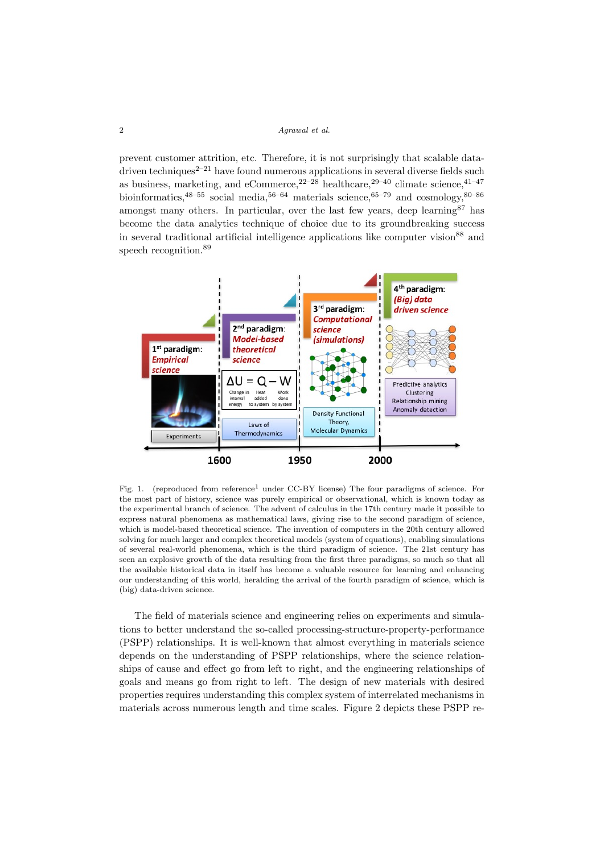prevent customer attrition, etc. Therefore, it is not surprisingly that scalable datadriven techniques<sup> $2-21$ </sup> have found numerous applications in several diverse fields such as business, marketing, and eCommerce,  $2^{2-28}$  healthcare,  $2^{9-40}$  climate science,  $4^{1-47}$ bioinformatics,<sup>48–55</sup> social media,<sup>56–64</sup> materials science,<sup>65–79</sup> and cosmology,<sup>80–86</sup> amongst many others. In particular, over the last few years, deep learning  $87$  has become the data analytics technique of choice due to its groundbreaking success in several traditional artificial intelligence applications like computer vision $88$  and speech recognition.<sup>89</sup>



Fig. 1. (reproduced from reference<sup>1</sup> under CC-BY license) The four paradigms of science. For the most part of history, science was purely empirical or observational, which is known today as the experimental branch of science. The advent of calculus in the 17th century made it possible to express natural phenomena as mathematical laws, giving rise to the second paradigm of science, which is model-based theoretical science. The invention of computers in the 20th century allowed solving for much larger and complex theoretical models (system of equations), enabling simulations of several real-world phenomena, which is the third paradigm of science. The 21st century has seen an explosive growth of the data resulting from the first three paradigms, so much so that all the available historical data in itself has become a valuable resource for learning and enhancing our understanding of this world, heralding the arrival of the fourth paradigm of science, which is (big) data-driven science.

The field of materials science and engineering relies on experiments and simulations to better understand the so-called processing-structure-property-performance (PSPP) relationships. It is well-known that almost everything in materials science depends on the understanding of PSPP relationships, where the science relationships of cause and effect go from left to right, and the engineering relationships of goals and means go from right to left. The design of new materials with desired properties requires understanding this complex system of interrelated mechanisms in materials across numerous length and time scales. Figure 2 depicts these PSPP re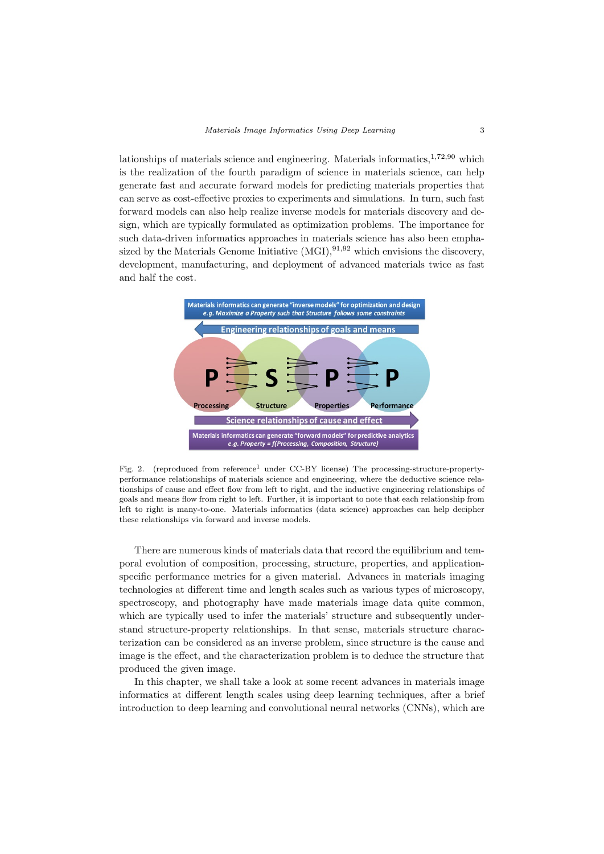lationships of materials science and engineering. Materials informatics, $1,72,90$  which is the realization of the fourth paradigm of science in materials science, can help generate fast and accurate forward models for predicting materials properties that can serve as cost-effective proxies to experiments and simulations. In turn, such fast forward models can also help realize inverse models for materials discovery and design, which are typically formulated as optimization problems. The importance for such data-driven informatics approaches in materials science has also been emphasized by the Materials Genome Initiative  $(MGI)$ ,  $91.92$  which envisions the discovery, development, manufacturing, and deployment of advanced materials twice as fast and half the cost.



Fig. 2. (reproduced from reference<sup>1</sup> under CC-BY license) The processing-structure-propertyperformance relationships of materials science and engineering, where the deductive science relationships of cause and effect flow from left to right, and the inductive engineering relationships of goals and means flow from right to left. Further, it is important to note that each relationship from left to right is many-to-one. Materials informatics (data science) approaches can help decipher these relationships via forward and inverse models.

There are numerous kinds of materials data that record the equilibrium and temporal evolution of composition, processing, structure, properties, and applicationspecific performance metrics for a given material. Advances in materials imaging technologies at different time and length scales such as various types of microscopy, spectroscopy, and photography have made materials image data quite common, which are typically used to infer the materials' structure and subsequently understand structure-property relationships. In that sense, materials structure characterization can be considered as an inverse problem, since structure is the cause and image is the effect, and the characterization problem is to deduce the structure that produced the given image.

In this chapter, we shall take a look at some recent advances in materials image informatics at different length scales using deep learning techniques, after a brief introduction to deep learning and convolutional neural networks (CNNs), which are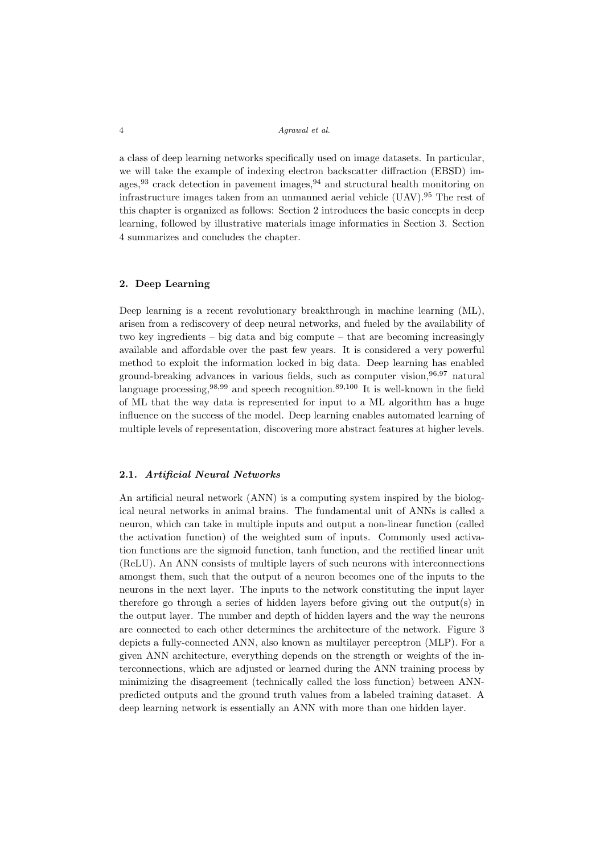a class of deep learning networks specifically used on image datasets. In particular, we will take the example of indexing electron backscatter diffraction (EBSD) images,  $93$  crack detection in pavement images,  $94$  and structural health monitoring on infrastructure images taken from an unmanned aerial vehicle (UAV).<sup>95</sup> The rest of this chapter is organized as follows: Section 2 introduces the basic concepts in deep learning, followed by illustrative materials image informatics in Section 3. Section 4 summarizes and concludes the chapter.

## 2. Deep Learning

Deep learning is a recent revolutionary breakthrough in machine learning (ML), arisen from a rediscovery of deep neural networks, and fueled by the availability of two key ingredients – big data and big compute – that are becoming increasingly available and affordable over the past few years. It is considered a very powerful method to exploit the information locked in big data. Deep learning has enabled ground-breaking advances in various fields, such as computer vision,  $96,97$  natural language processing,  $98,99$  and speech recognition.  $89,100$  It is well-known in the field of ML that the way data is represented for input to a ML algorithm has a huge influence on the success of the model. Deep learning enables automated learning of multiple levels of representation, discovering more abstract features at higher levels.

# 2.1. Artificial Neural Networks

An artificial neural network (ANN) is a computing system inspired by the biological neural networks in animal brains. The fundamental unit of ANNs is called a neuron, which can take in multiple inputs and output a non-linear function (called the activation function) of the weighted sum of inputs. Commonly used activation functions are the sigmoid function, tanh function, and the rectified linear unit (ReLU). An ANN consists of multiple layers of such neurons with interconnections amongst them, such that the output of a neuron becomes one of the inputs to the neurons in the next layer. The inputs to the network constituting the input layer therefore go through a series of hidden layers before giving out the output(s) in the output layer. The number and depth of hidden layers and the way the neurons are connected to each other determines the architecture of the network. Figure 3 depicts a fully-connected ANN, also known as multilayer perceptron (MLP). For a given ANN architecture, everything depends on the strength or weights of the interconnections, which are adjusted or learned during the ANN training process by minimizing the disagreement (technically called the loss function) between ANNpredicted outputs and the ground truth values from a labeled training dataset. A deep learning network is essentially an ANN with more than one hidden layer.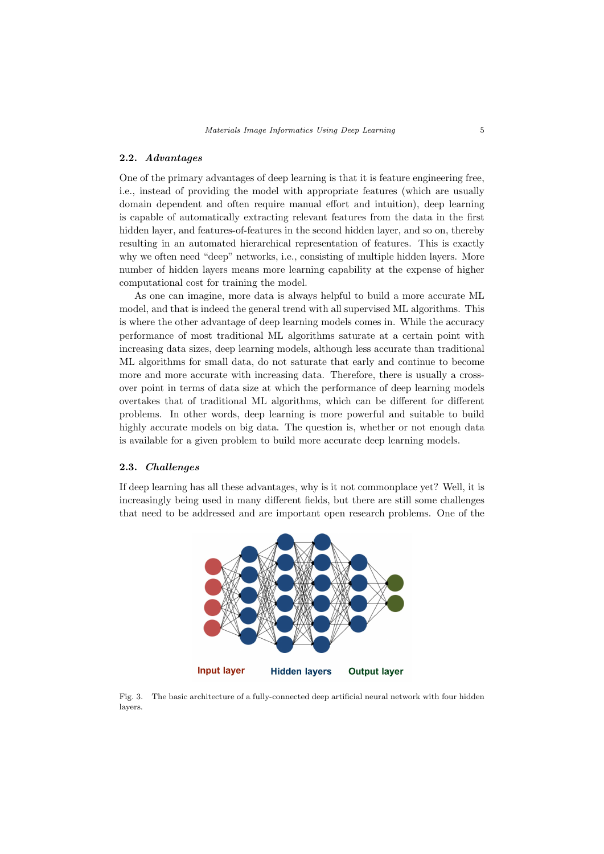### 2.2. Advantages

One of the primary advantages of deep learning is that it is feature engineering free, i.e., instead of providing the model with appropriate features (which are usually domain dependent and often require manual effort and intuition), deep learning is capable of automatically extracting relevant features from the data in the first hidden layer, and features-of-features in the second hidden layer, and so on, thereby resulting in an automated hierarchical representation of features. This is exactly why we often need "deep" networks, i.e., consisting of multiple hidden layers. More number of hidden layers means more learning capability at the expense of higher computational cost for training the model.

As one can imagine, more data is always helpful to build a more accurate ML model, and that is indeed the general trend with all supervised ML algorithms. This is where the other advantage of deep learning models comes in. While the accuracy performance of most traditional ML algorithms saturate at a certain point with increasing data sizes, deep learning models, although less accurate than traditional ML algorithms for small data, do not saturate that early and continue to become more and more accurate with increasing data. Therefore, there is usually a crossover point in terms of data size at which the performance of deep learning models overtakes that of traditional ML algorithms, which can be different for different problems. In other words, deep learning is more powerful and suitable to build highly accurate models on big data. The question is, whether or not enough data is available for a given problem to build more accurate deep learning models.

## 2.3. Challenges

If deep learning has all these advantages, why is it not commonplace yet? Well, it is increasingly being used in many different fields, but there are still some challenges that need to be addressed and are important open research problems. One of the



Fig. 3. The basic architecture of a fully-connected deep artificial neural network with four hidden layers.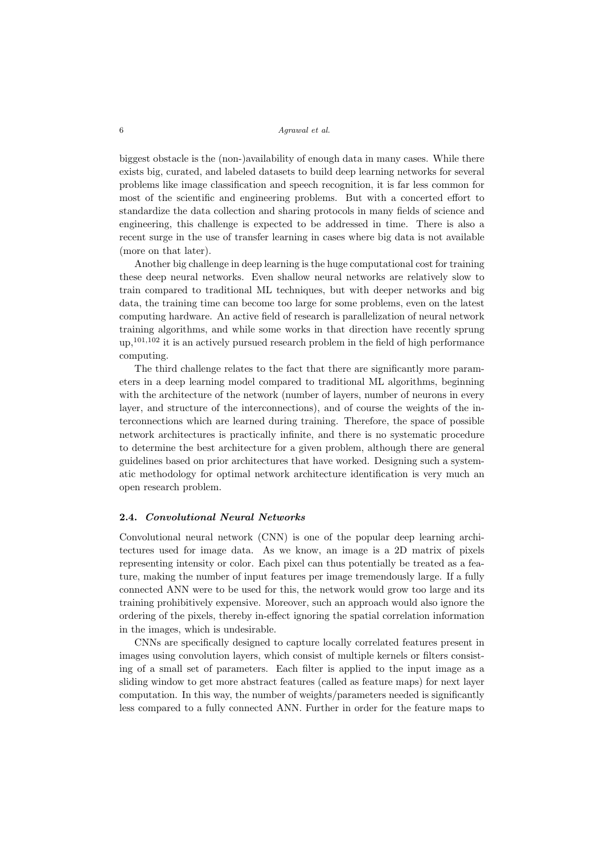biggest obstacle is the (non-)availability of enough data in many cases. While there exists big, curated, and labeled datasets to build deep learning networks for several problems like image classification and speech recognition, it is far less common for most of the scientific and engineering problems. But with a concerted effort to standardize the data collection and sharing protocols in many fields of science and engineering, this challenge is expected to be addressed in time. There is also a recent surge in the use of transfer learning in cases where big data is not available (more on that later).

Another big challenge in deep learning is the huge computational cost for training these deep neural networks. Even shallow neural networks are relatively slow to train compared to traditional ML techniques, but with deeper networks and big data, the training time can become too large for some problems, even on the latest computing hardware. An active field of research is parallelization of neural network training algorithms, and while some works in that direction have recently sprung up,101,102 it is an actively pursued research problem in the field of high performance computing.

The third challenge relates to the fact that there are significantly more parameters in a deep learning model compared to traditional ML algorithms, beginning with the architecture of the network (number of layers, number of neurons in every layer, and structure of the interconnections), and of course the weights of the interconnections which are learned during training. Therefore, the space of possible network architectures is practically infinite, and there is no systematic procedure to determine the best architecture for a given problem, although there are general guidelines based on prior architectures that have worked. Designing such a systematic methodology for optimal network architecture identification is very much an open research problem.

### 2.4. Convolutional Neural Networks

Convolutional neural network (CNN) is one of the popular deep learning architectures used for image data. As we know, an image is a 2D matrix of pixels representing intensity or color. Each pixel can thus potentially be treated as a feature, making the number of input features per image tremendously large. If a fully connected ANN were to be used for this, the network would grow too large and its training prohibitively expensive. Moreover, such an approach would also ignore the ordering of the pixels, thereby in-effect ignoring the spatial correlation information in the images, which is undesirable.

CNNs are specifically designed to capture locally correlated features present in images using convolution layers, which consist of multiple kernels or filters consisting of a small set of parameters. Each filter is applied to the input image as a sliding window to get more abstract features (called as feature maps) for next layer computation. In this way, the number of weights/parameters needed is significantly less compared to a fully connected ANN. Further in order for the feature maps to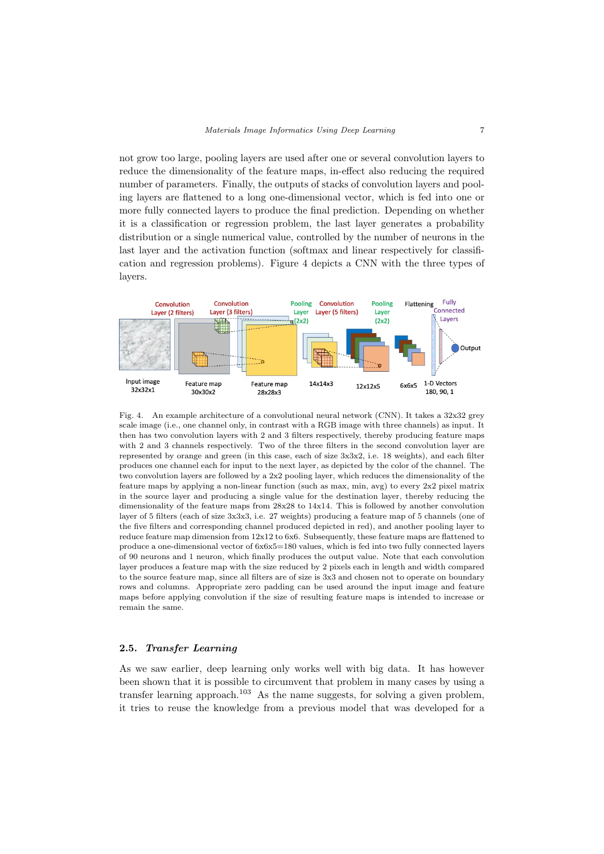not grow too large, pooling layers are used after one or several convolution layers to reduce the dimensionality of the feature maps, in-effect also reducing the required number of parameters. Finally, the outputs of stacks of convolution layers and pooling layers are flattened to a long one-dimensional vector, which is fed into one or more fully connected layers to produce the final prediction. Depending on whether it is a classification or regression problem, the last layer generates a probability distribution or a single numerical value, controlled by the number of neurons in the last layer and the activation function (softmax and linear respectively for classification and regression problems). Figure 4 depicts a CNN with the three types of layers.



Fig. 4. An example architecture of a convolutional neural network (CNN). It takes a 32x32 grey scale image (i.e., one channel only, in contrast with a RGB image with three channels) as input. It then has two convolution layers with 2 and 3 filters respectively, thereby producing feature maps with 2 and 3 channels respectively. Two of the three filters in the second convolution layer are represented by orange and green (in this case, each of size 3x3x2, i.e. 18 weights), and each filter produces one channel each for input to the next layer, as depicted by the color of the channel. The two convolution layers are followed by a 2x2 pooling layer, which reduces the dimensionality of the feature maps by applying a non-linear function (such as max, min, avg) to every 2x2 pixel matrix in the source layer and producing a single value for the destination layer, thereby reducing the dimensionality of the feature maps from 28x28 to 14x14. This is followed by another convolution layer of 5 filters (each of size 3x3x3, i.e. 27 weights) producing a feature map of 5 channels (one of the five filters and corresponding channel produced depicted in red), and another pooling layer to reduce feature map dimension from 12x12 to 6x6. Subsequently, these feature maps are flattened to produce a one-dimensional vector of  $6x6x5=180$  values, which is fed into two fully connected layers of 90 neurons and 1 neuron, which finally produces the output value. Note that each convolution layer produces a feature map with the size reduced by 2 pixels each in length and width compared to the source feature map, since all filters are of size is 3x3 and chosen not to operate on boundary rows and columns. Appropriate zero padding can be used around the input image and feature maps before applying convolution if the size of resulting feature maps is intended to increase or remain the same.

## 2.5. Transfer Learning

As we saw earlier, deep learning only works well with big data. It has however been shown that it is possible to circumvent that problem in many cases by using a transfer learning approach.<sup>103</sup> As the name suggests, for solving a given problem, it tries to reuse the knowledge from a previous model that was developed for a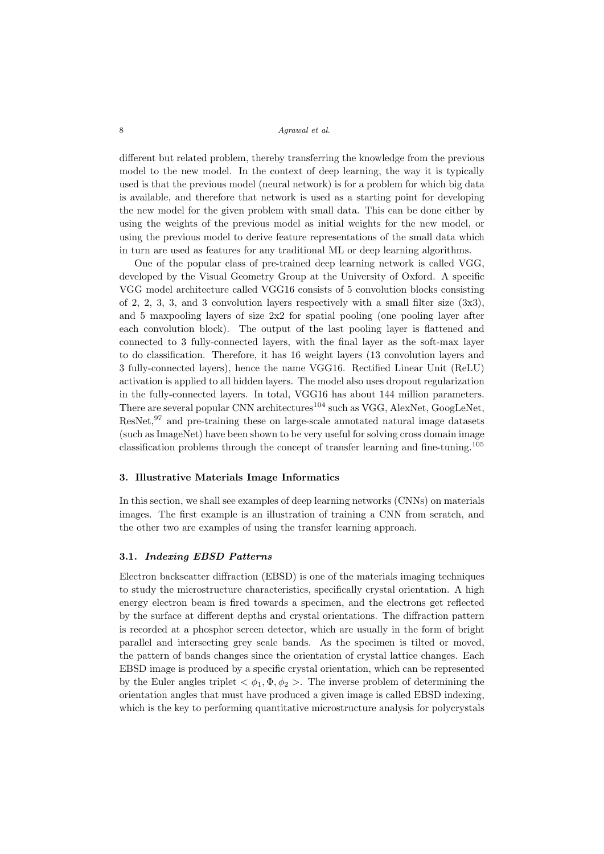different but related problem, thereby transferring the knowledge from the previous model to the new model. In the context of deep learning, the way it is typically used is that the previous model (neural network) is for a problem for which big data is available, and therefore that network is used as a starting point for developing the new model for the given problem with small data. This can be done either by using the weights of the previous model as initial weights for the new model, or using the previous model to derive feature representations of the small data which in turn are used as features for any traditional ML or deep learning algorithms.

One of the popular class of pre-trained deep learning network is called VGG, developed by the Visual Geometry Group at the University of Oxford. A specific VGG model architecture called VGG16 consists of 5 convolution blocks consisting of 2, 2, 3, 3, and 3 convolution layers respectively with a small filter size  $(3x3)$ , and 5 maxpooling layers of size 2x2 for spatial pooling (one pooling layer after each convolution block). The output of the last pooling layer is flattened and connected to 3 fully-connected layers, with the final layer as the soft-max layer to do classification. Therefore, it has 16 weight layers (13 convolution layers and 3 fully-connected layers), hence the name VGG16. Rectified Linear Unit (ReLU) activation is applied to all hidden layers. The model also uses dropout regularization in the fully-connected layers. In total, VGG16 has about 144 million parameters. There are several popular CNN architectures<sup>104</sup> such as VGG, AlexNet, GoogLeNet, ResNet,<sup>97</sup> and pre-training these on large-scale annotated natural image datasets (such as ImageNet) have been shown to be very useful for solving cross domain image classification problems through the concept of transfer learning and fine-tuning.<sup>105</sup>

#### 3. Illustrative Materials Image Informatics

In this section, we shall see examples of deep learning networks (CNNs) on materials images. The first example is an illustration of training a CNN from scratch, and the other two are examples of using the transfer learning approach.

### 3.1. Indexing EBSD Patterns

Electron backscatter diffraction (EBSD) is one of the materials imaging techniques to study the microstructure characteristics, specifically crystal orientation. A high energy electron beam is fired towards a specimen, and the electrons get reflected by the surface at different depths and crystal orientations. The diffraction pattern is recorded at a phosphor screen detector, which are usually in the form of bright parallel and intersecting grey scale bands. As the specimen is tilted or moved, the pattern of bands changes since the orientation of crystal lattice changes. Each EBSD image is produced by a specific crystal orientation, which can be represented by the Euler angles triplet  $\langle \phi_1, \Phi, \phi_2 \rangle$ . The inverse problem of determining the orientation angles that must have produced a given image is called EBSD indexing, which is the key to performing quantitative microstructure analysis for polycrystals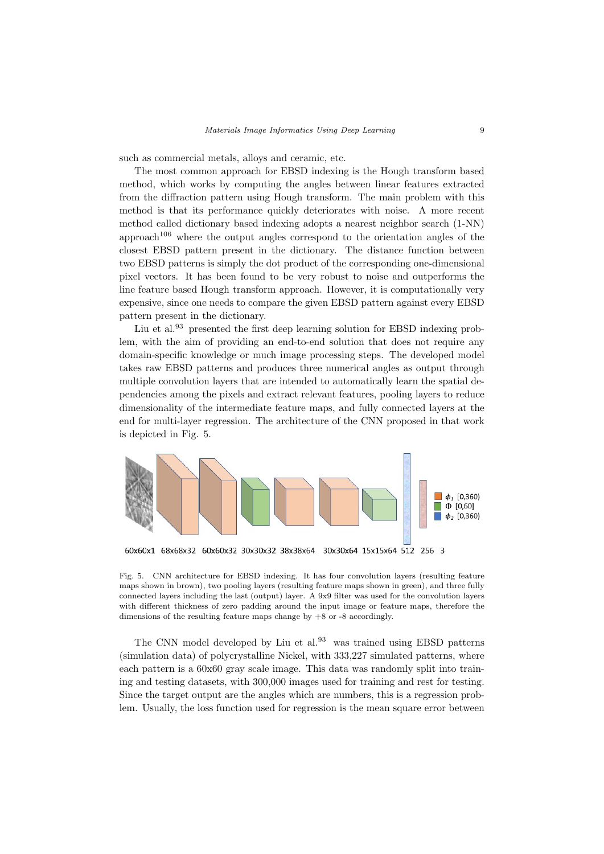such as commercial metals, alloys and ceramic, etc.

The most common approach for EBSD indexing is the Hough transform based method, which works by computing the angles between linear features extracted from the diffraction pattern using Hough transform. The main problem with this method is that its performance quickly deteriorates with noise. A more recent method called dictionary based indexing adopts a nearest neighbor search (1-NN) approach<sup>106</sup> where the output angles correspond to the orientation angles of the closest EBSD pattern present in the dictionary. The distance function between two EBSD patterns is simply the dot product of the corresponding one-dimensional pixel vectors. It has been found to be very robust to noise and outperforms the line feature based Hough transform approach. However, it is computationally very expensive, since one needs to compare the given EBSD pattern against every EBSD pattern present in the dictionary.

Liu et al. $93$  presented the first deep learning solution for EBSD indexing problem, with the aim of providing an end-to-end solution that does not require any domain-specific knowledge or much image processing steps. The developed model takes raw EBSD patterns and produces three numerical angles as output through multiple convolution layers that are intended to automatically learn the spatial dependencies among the pixels and extract relevant features, pooling layers to reduce dimensionality of the intermediate feature maps, and fully connected layers at the end for multi-layer regression. The architecture of the CNN proposed in that work is depicted in Fig. 5.



Fig. 5. CNN architecture for EBSD indexing. It has four convolution layers (resulting feature maps shown in brown), two pooling layers (resulting feature maps shown in green), and three fully connected layers including the last (output) layer. A 9x9 filter was used for the convolution layers with different thickness of zero padding around the input image or feature maps, therefore the dimensions of the resulting feature maps change by +8 or -8 accordingly.

The CNN model developed by Liu et al.<sup>93</sup> was trained using EBSD patterns (simulation data) of polycrystalline Nickel, with 333,227 simulated patterns, where each pattern is a 60x60 gray scale image. This data was randomly split into training and testing datasets, with 300,000 images used for training and rest for testing. Since the target output are the angles which are numbers, this is a regression problem. Usually, the loss function used for regression is the mean square error between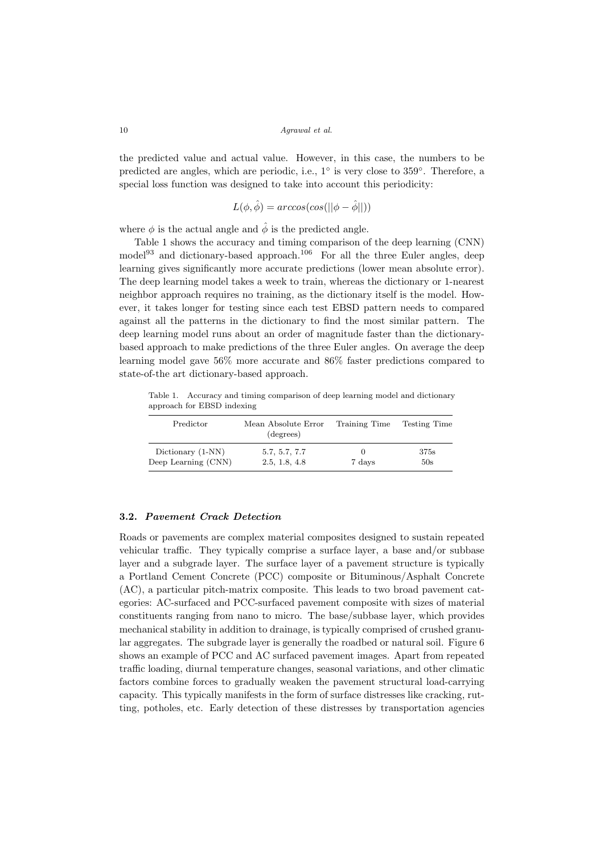the predicted value and actual value. However, in this case, the numbers to be predicted are angles, which are periodic, i.e., 1° is very close to 359°. Therefore, a special loss function was designed to take into account this periodicity:

$$
L(\phi, \hat{\phi}) = \arccos(\cos(||\phi - \hat{\phi}||))
$$

where  $\phi$  is the actual angle and  $\hat{\phi}$  is the predicted angle.

Table 1 shows the accuracy and timing comparison of the deep learning (CNN)  $\text{model}^{93}$  and dictionary-based approach.<sup>106</sup> For all the three Euler angles, deep learning gives significantly more accurate predictions (lower mean absolute error). The deep learning model takes a week to train, whereas the dictionary or 1-nearest neighbor approach requires no training, as the dictionary itself is the model. However, it takes longer for testing since each test EBSD pattern needs to compared against all the patterns in the dictionary to find the most similar pattern. The deep learning model runs about an order of magnitude faster than the dictionarybased approach to make predictions of the three Euler angles. On average the deep learning model gave 56% more accurate and 86% faster predictions compared to state-of-the art dictionary-based approach.

Table 1. Accuracy and timing comparison of deep learning model and dictionary approach for EBSD indexing

| Predictor           | Mean Absolute Error<br>(degrees) | Training Time | <b>Testing Time</b> |
|---------------------|----------------------------------|---------------|---------------------|
| Dictionary (1-NN)   | 5.7, 5.7, 7.7                    | $\cup$        | 375s                |
| Deep Learning (CNN) | 2.5, 1.8, 4.8                    | 7 days        | 50s                 |

### 3.2. Pavement Crack Detection

Roads or pavements are complex material composites designed to sustain repeated vehicular traffic. They typically comprise a surface layer, a base and/or subbase layer and a subgrade layer. The surface layer of a pavement structure is typically a Portland Cement Concrete (PCC) composite or Bituminous/Asphalt Concrete (AC), a particular pitch-matrix composite. This leads to two broad pavement categories: AC-surfaced and PCC-surfaced pavement composite with sizes of material constituents ranging from nano to micro. The base/subbase layer, which provides mechanical stability in addition to drainage, is typically comprised of crushed granular aggregates. The subgrade layer is generally the roadbed or natural soil. Figure 6 shows an example of PCC and AC surfaced pavement images. Apart from repeated traffic loading, diurnal temperature changes, seasonal variations, and other climatic factors combine forces to gradually weaken the pavement structural load-carrying capacity. This typically manifests in the form of surface distresses like cracking, rutting, potholes, etc. Early detection of these distresses by transportation agencies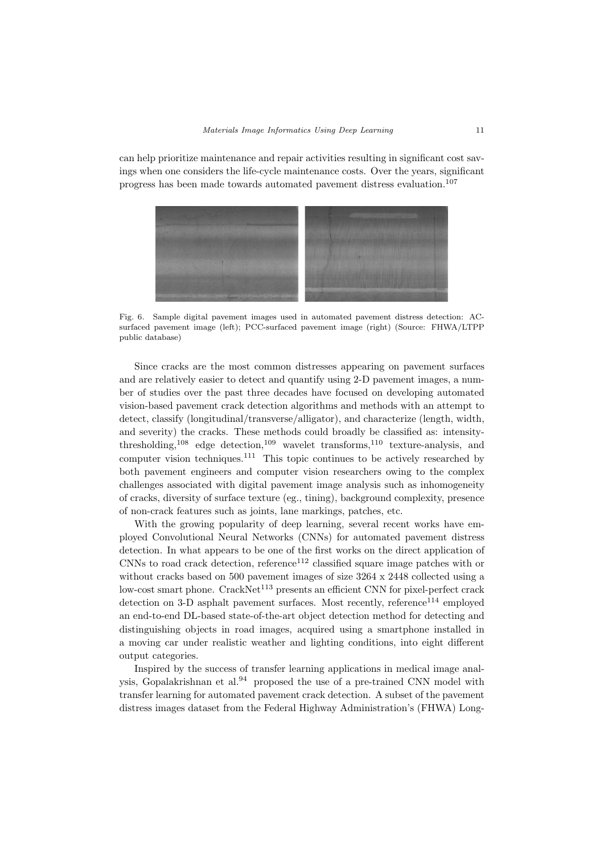can help prioritize maintenance and repair activities resulting in significant cost savings when one considers the life-cycle maintenance costs. Over the years, significant progress has been made towards automated pavement distress evaluation.<sup>107</sup>



Fig. 6. Sample digital pavement images used in automated pavement distress detection: ACsurfaced pavement image (left); PCC-surfaced pavement image (right) (Source: FHWA/LTPP public database)

Since cracks are the most common distresses appearing on pavement surfaces and are relatively easier to detect and quantify using 2-D pavement images, a number of studies over the past three decades have focused on developing automated vision-based pavement crack detection algorithms and methods with an attempt to detect, classify (longitudinal/transverse/alligator), and characterize (length, width, and severity) the cracks. These methods could broadly be classified as: intensitythresholding,<sup>108</sup> edge detection,<sup>109</sup> wavelet transforms,<sup>110</sup> texture-analysis, and computer vision techniques.<sup>111</sup> This topic continues to be actively researched by both pavement engineers and computer vision researchers owing to the complex challenges associated with digital pavement image analysis such as inhomogeneity of cracks, diversity of surface texture (eg., tining), background complexity, presence of non-crack features such as joints, lane markings, patches, etc.

With the growing popularity of deep learning, several recent works have employed Convolutional Neural Networks (CNNs) for automated pavement distress detection. In what appears to be one of the first works on the direct application of  $CNNs$  to road crack detection, reference<sup>112</sup> classified square image patches with or without cracks based on 500 pavement images of size 3264 x 2448 collected using a low-cost smart phone. CrackNet<sup>113</sup> presents an efficient CNN for pixel-perfect crack detection on 3-D asphalt pavement surfaces. Most recently, reference<sup>114</sup> employed an end-to-end DL-based state-of-the-art object detection method for detecting and distinguishing objects in road images, acquired using a smartphone installed in a moving car under realistic weather and lighting conditions, into eight different output categories.

Inspired by the success of transfer learning applications in medical image analysis, Gopalakrishnan et al. $94$  proposed the use of a pre-trained CNN model with transfer learning for automated pavement crack detection. A subset of the pavement distress images dataset from the Federal Highway Administration's (FHWA) Long-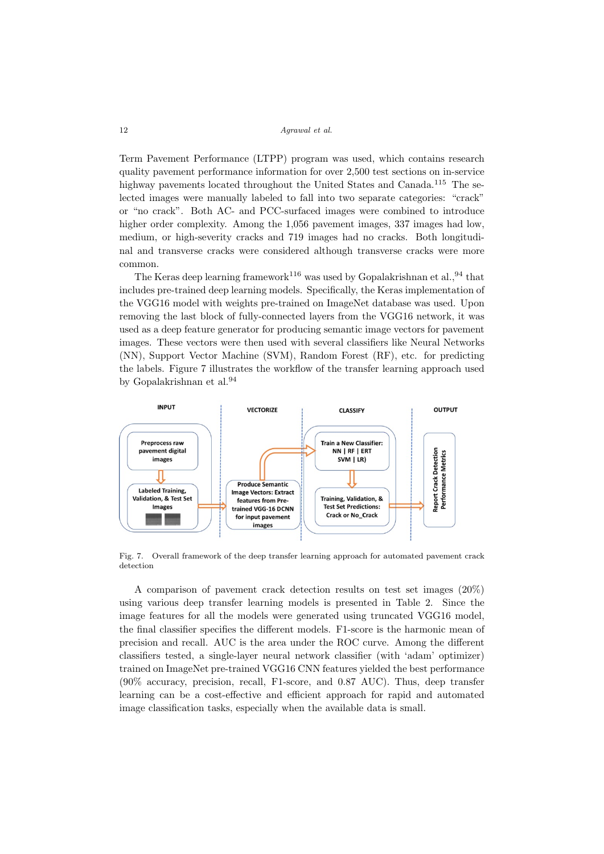Term Pavement Performance (LTPP) program was used, which contains research quality pavement performance information for over 2,500 test sections on in-service highway pavements located throughout the United States and Canada.<sup>115</sup> The selected images were manually labeled to fall into two separate categories: "crack" or "no crack". Both AC- and PCC-surfaced images were combined to introduce higher order complexity. Among the 1,056 pavement images, 337 images had low, medium, or high-severity cracks and 719 images had no cracks. Both longitudinal and transverse cracks were considered although transverse cracks were more common.

The Keras deep learning framework<sup>116</sup> was used by Gopalakrishnan et al., <sup>94</sup> that includes pre-trained deep learning models. Specifically, the Keras implementation of the VGG16 model with weights pre-trained on ImageNet database was used. Upon removing the last block of fully-connected layers from the VGG16 network, it was used as a deep feature generator for producing semantic image vectors for pavement images. These vectors were then used with several classifiers like Neural Networks (NN), Support Vector Machine (SVM), Random Forest (RF), etc. for predicting the labels. Figure 7 illustrates the workflow of the transfer learning approach used by Gopalakrishnan et al.<sup>94</sup>



Fig. 7. Overall framework of the deep transfer learning approach for automated pavement crack detection

A comparison of pavement crack detection results on test set images (20%) using various deep transfer learning models is presented in Table 2. Since the image features for all the models were generated using truncated VGG16 model, the final classifier specifies the different models. F1-score is the harmonic mean of precision and recall. AUC is the area under the ROC curve. Among the different classifiers tested, a single-layer neural network classifier (with 'adam' optimizer) trained on ImageNet pre-trained VGG16 CNN features yielded the best performance (90% accuracy, precision, recall, F1-score, and 0.87 AUC). Thus, deep transfer learning can be a cost-effective and efficient approach for rapid and automated image classification tasks, especially when the available data is small.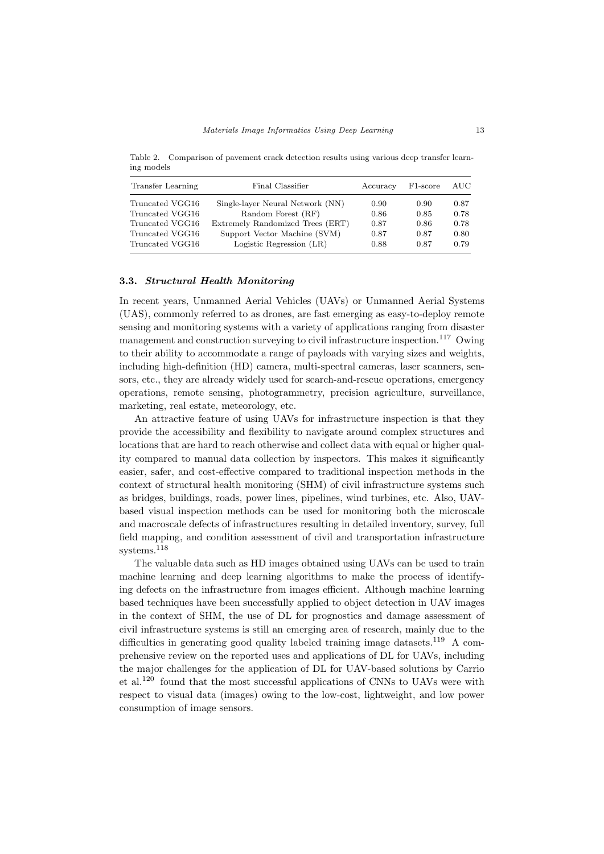Table 2. Comparison of pavement crack detection results using various deep transfer learning models

| Transfer Learning | Final Classifier                 | Accuracy | F <sub>1</sub> -score | AUC- |
|-------------------|----------------------------------|----------|-----------------------|------|
| Truncated VGG16   | Single-layer Neural Network (NN) | 0.90     | 0.90                  | 0.87 |
| Truncated VGG16   | Random Forest (RF)               | 0.86     | 0.85                  | 0.78 |
| Truncated VGG16   | Extremely Randomized Trees (ERT) | 0.87     | 0.86                  | 0.78 |
| Truncated VGG16   | Support Vector Machine (SVM)     | 0.87     | 0.87                  | 0.80 |
| Truncated VGG16   | Logistic Regression (LR)         | 0.88     | 0.87                  | 0.79 |

## 3.3. Structural Health Monitoring

In recent years, Unmanned Aerial Vehicles (UAVs) or Unmanned Aerial Systems (UAS), commonly referred to as drones, are fast emerging as easy-to-deploy remote sensing and monitoring systems with a variety of applications ranging from disaster management and construction surveying to civil infrastructure inspection.<sup>117</sup> Owing to their ability to accommodate a range of payloads with varying sizes and weights, including high-definition (HD) camera, multi-spectral cameras, laser scanners, sensors, etc., they are already widely used for search-and-rescue operations, emergency operations, remote sensing, photogrammetry, precision agriculture, surveillance, marketing, real estate, meteorology, etc.

An attractive feature of using UAVs for infrastructure inspection is that they provide the accessibility and flexibility to navigate around complex structures and locations that are hard to reach otherwise and collect data with equal or higher quality compared to manual data collection by inspectors. This makes it significantly easier, safer, and cost-effective compared to traditional inspection methods in the context of structural health monitoring (SHM) of civil infrastructure systems such as bridges, buildings, roads, power lines, pipelines, wind turbines, etc. Also, UAVbased visual inspection methods can be used for monitoring both the microscale and macroscale defects of infrastructures resulting in detailed inventory, survey, full field mapping, and condition assessment of civil and transportation infrastructure systems.<sup>118</sup>

The valuable data such as HD images obtained using UAVs can be used to train machine learning and deep learning algorithms to make the process of identifying defects on the infrastructure from images efficient. Although machine learning based techniques have been successfully applied to object detection in UAV images in the context of SHM, the use of DL for prognostics and damage assessment of civil infrastructure systems is still an emerging area of research, mainly due to the difficulties in generating good quality labeled training image datasets.<sup>119</sup> A comprehensive review on the reported uses and applications of DL for UAVs, including the major challenges for the application of DL for UAV-based solutions by Carrio et al.<sup>120</sup> found that the most successful applications of CNNs to UAVs were with respect to visual data (images) owing to the low-cost, lightweight, and low power consumption of image sensors.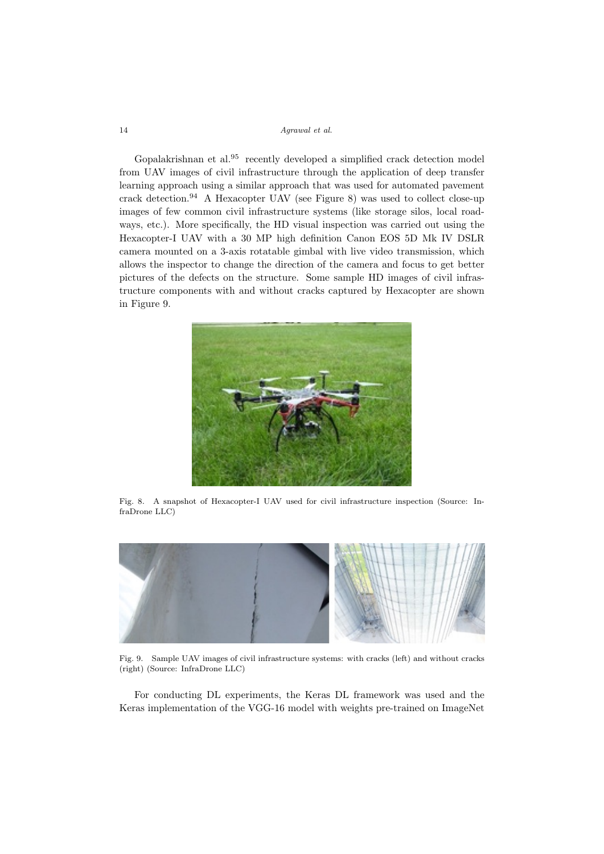Gopalakrishnan et al.<sup>95</sup> recently developed a simplified crack detection model from UAV images of civil infrastructure through the application of deep transfer learning approach using a similar approach that was used for automated pavement crack detection.<sup>94</sup> A Hexacopter UAV (see Figure 8) was used to collect close-up images of few common civil infrastructure systems (like storage silos, local roadways, etc.). More specifically, the HD visual inspection was carried out using the Hexacopter-I UAV with a 30 MP high definition Canon EOS 5D Mk IV DSLR camera mounted on a 3-axis rotatable gimbal with live video transmission, which allows the inspector to change the direction of the camera and focus to get better pictures of the defects on the structure. Some sample HD images of civil infrastructure components with and without cracks captured by Hexacopter are shown in Figure 9.



Fig. 8. A snapshot of Hexacopter-I UAV used for civil infrastructure inspection (Source: InfraDrone LLC)



Fig. 9. Sample UAV images of civil infrastructure systems: with cracks (left) and without cracks (right) (Source: InfraDrone LLC)

For conducting DL experiments, the Keras DL framework was used and the Keras implementation of the VGG-16 model with weights pre-trained on ImageNet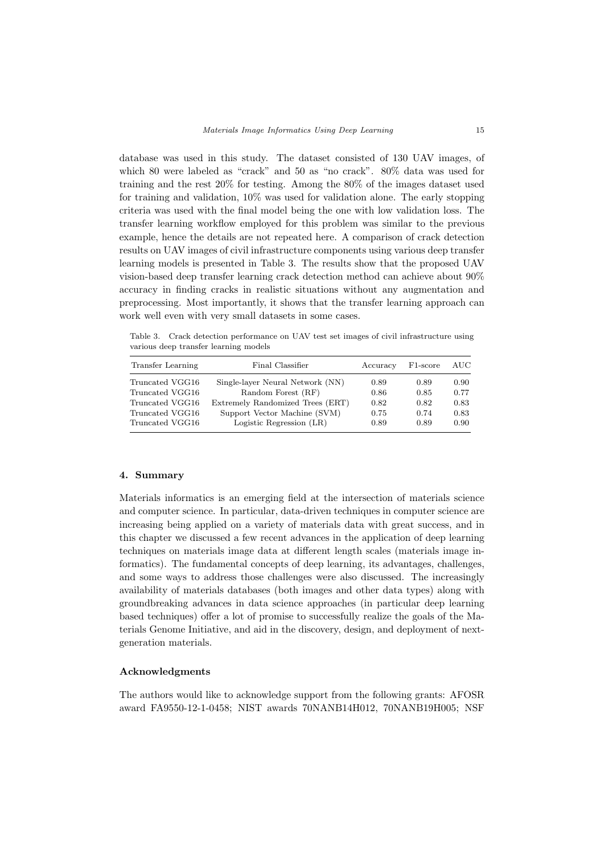database was used in this study. The dataset consisted of 130 UAV images, of which 80 were labeled as "crack" and 50 as "no crack". 80% data was used for training and the rest 20% for testing. Among the 80% of the images dataset used for training and validation, 10% was used for validation alone. The early stopping criteria was used with the final model being the one with low validation loss. The transfer learning workflow employed for this problem was similar to the previous example, hence the details are not repeated here. A comparison of crack detection results on UAV images of civil infrastructure components using various deep transfer learning models is presented in Table 3. The results show that the proposed UAV vision-based deep transfer learning crack detection method can achieve about 90% accuracy in finding cracks in realistic situations without any augmentation and preprocessing. Most importantly, it shows that the transfer learning approach can work well even with very small datasets in some cases.

Table 3. Crack detection performance on UAV test set images of civil infrastructure using various deep transfer learning models

| Transfer Learning | Final Classifier                 | Accuracy | F <sub>1</sub> -score | AUC- |
|-------------------|----------------------------------|----------|-----------------------|------|
| Truncated VGG16   | Single-layer Neural Network (NN) | 0.89     | 0.89                  | 0.90 |
| Truncated VGG16   | Random Forest (RF)               | 0.86     | 0.85                  | 0.77 |
| Truncated VGG16   | Extremely Randomized Trees (ERT) | 0.82     | 0.82                  | 0.83 |
| Truncated VGG16   | Support Vector Machine (SVM)     | 0.75     | 0.74                  | 0.83 |
| Truncated VGG16   | Logistic Regression (LR)         | 0.89     | 0.89                  | 0.90 |

## 4. Summary

Materials informatics is an emerging field at the intersection of materials science and computer science. In particular, data-driven techniques in computer science are increasing being applied on a variety of materials data with great success, and in this chapter we discussed a few recent advances in the application of deep learning techniques on materials image data at different length scales (materials image informatics). The fundamental concepts of deep learning, its advantages, challenges, and some ways to address those challenges were also discussed. The increasingly availability of materials databases (both images and other data types) along with groundbreaking advances in data science approaches (in particular deep learning based techniques) offer a lot of promise to successfully realize the goals of the Materials Genome Initiative, and aid in the discovery, design, and deployment of nextgeneration materials.

# Acknowledgments

The authors would like to acknowledge support from the following grants: AFOSR award FA9550-12-1-0458; NIST awards 70NANB14H012, 70NANB19H005; NSF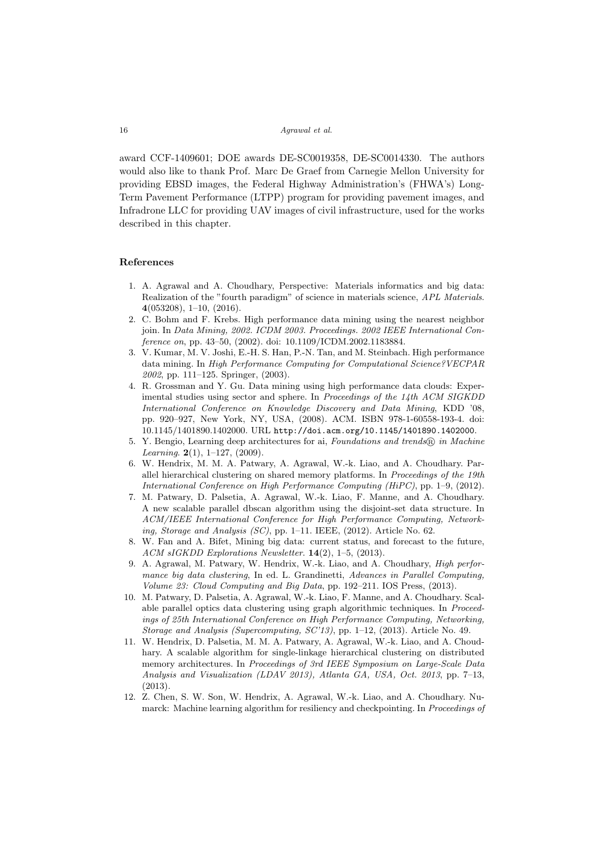award CCF-1409601; DOE awards DE-SC0019358, DE-SC0014330. The authors would also like to thank Prof. Marc De Graef from Carnegie Mellon University for providing EBSD images, the Federal Highway Administration's (FHWA's) Long-Term Pavement Performance (LTPP) program for providing pavement images, and Infradrone LLC for providing UAV images of civil infrastructure, used for the works described in this chapter.

### References

- 1. A. Agrawal and A. Choudhary, Perspective: Materials informatics and big data: Realization of the "fourth paradigm" of science in materials science, APL Materials. 4(053208), 1–10, (2016).
- 2. C. Bohm and F. Krebs. High performance data mining using the nearest neighbor join. In Data Mining, 2002. ICDM 2003. Proceedings. 2002 IEEE International Conference on, pp. 43–50, (2002). doi: 10.1109/ICDM.2002.1183884.
- 3. V. Kumar, M. V. Joshi, E.-H. S. Han, P.-N. Tan, and M. Steinbach. High performance data mining. In High Performance Computing for Computational Science?VECPAR 2002, pp. 111–125. Springer, (2003).
- 4. R. Grossman and Y. Gu. Data mining using high performance data clouds: Experimental studies using sector and sphere. In Proceedings of the 14th ACM SIGKDD International Conference on Knowledge Discovery and Data Mining, KDD '08, pp. 920–927, New York, NY, USA, (2008). ACM. ISBN 978-1-60558-193-4. doi: 10.1145/1401890.1402000. URL http://doi.acm.org/10.1145/1401890.1402000.
- 5. Y. Bengio, Learning deep architectures for ai, Foundations and trends  $\mathbb{R}$  in Machine Learning.  $2(1)$ , 1-127, (2009).
- 6. W. Hendrix, M. M. A. Patwary, A. Agrawal, W.-k. Liao, and A. Choudhary. Parallel hierarchical clustering on shared memory platforms. In Proceedings of the 19th International Conference on High Performance Computing (HiPC), pp. 1–9, (2012).
- 7. M. Patwary, D. Palsetia, A. Agrawal, W.-k. Liao, F. Manne, and A. Choudhary. A new scalable parallel dbscan algorithm using the disjoint-set data structure. In ACM/IEEE International Conference for High Performance Computing, Networking, Storage and Analysis (SC), pp. 1–11. IEEE, (2012). Article No. 62.
- 8. W. Fan and A. Bifet, Mining big data: current status, and forecast to the future, ACM sIGKDD Explorations Newsletter. 14(2), 1–5, (2013).
- 9. A. Agrawal, M. Patwary, W. Hendrix, W.-k. Liao, and A. Choudhary, High performance big data clustering, In ed. L. Grandinetti, Advances in Parallel Computing, Volume 23: Cloud Computing and Big Data, pp. 192–211. IOS Press, (2013).
- 10. M. Patwary, D. Palsetia, A. Agrawal, W.-k. Liao, F. Manne, and A. Choudhary. Scalable parallel optics data clustering using graph algorithmic techniques. In Proceedings of 25th International Conference on High Performance Computing, Networking, Storage and Analysis (Supercomputing, SC'13), pp. 1–12, (2013). Article No. 49.
- 11. W. Hendrix, D. Palsetia, M. M. A. Patwary, A. Agrawal, W.-k. Liao, and A. Choudhary. A scalable algorithm for single-linkage hierarchical clustering on distributed memory architectures. In Proceedings of 3rd IEEE Symposium on Large-Scale Data Analysis and Visualization (LDAV 2013), Atlanta GA, USA, Oct. 2013, pp. 7–13, (2013).
- 12. Z. Chen, S. W. Son, W. Hendrix, A. Agrawal, W.-k. Liao, and A. Choudhary. Numarck: Machine learning algorithm for resiliency and checkpointing. In Proceedings of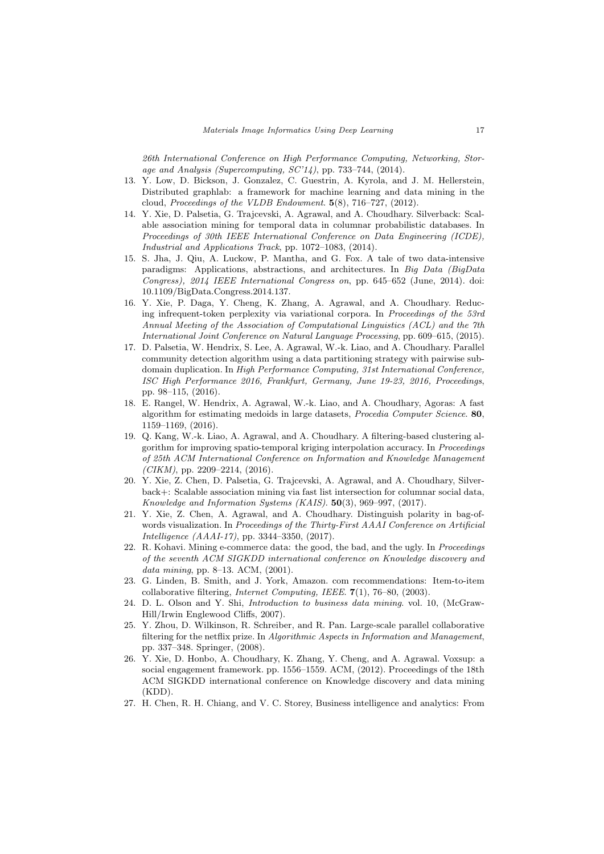26th International Conference on High Performance Computing, Networking, Storage and Analysis (Supercomputing,  $SC'14$ ), pp. 733–744, (2014).

- 13. Y. Low, D. Bickson, J. Gonzalez, C. Guestrin, A. Kyrola, and J. M. Hellerstein, Distributed graphlab: a framework for machine learning and data mining in the cloud, Proceedings of the VLDB Endowment. 5(8), 716–727, (2012).
- 14. Y. Xie, D. Palsetia, G. Trajcevski, A. Agrawal, and A. Choudhary. Silverback: Scalable association mining for temporal data in columnar probabilistic databases. In Proceedings of 30th IEEE International Conference on Data Engineering (ICDE), Industrial and Applications Track, pp. 1072–1083, (2014).
- 15. S. Jha, J. Qiu, A. Luckow, P. Mantha, and G. Fox. A tale of two data-intensive paradigms: Applications, abstractions, and architectures. In Big Data (BigData Congress), 2014 IEEE International Congress on, pp. 645–652 (June, 2014). doi: 10.1109/BigData.Congress.2014.137.
- 16. Y. Xie, P. Daga, Y. Cheng, K. Zhang, A. Agrawal, and A. Choudhary. Reducing infrequent-token perplexity via variational corpora. In Proceedings of the 53rd Annual Meeting of the Association of Computational Linguistics (ACL) and the 7th International Joint Conference on Natural Language Processing, pp. 609–615, (2015).
- 17. D. Palsetia, W. Hendrix, S. Lee, A. Agrawal, W.-k. Liao, and A. Choudhary. Parallel community detection algorithm using a data partitioning strategy with pairwise subdomain duplication. In High Performance Computing, 31st International Conference, ISC High Performance 2016, Frankfurt, Germany, June 19-23, 2016, Proceedings, pp. 98–115, (2016).
- 18. E. Rangel, W. Hendrix, A. Agrawal, W.-k. Liao, and A. Choudhary, Agoras: A fast algorithm for estimating medoids in large datasets, Procedia Computer Science. 80, 1159–1169, (2016).
- 19. Q. Kang, W.-k. Liao, A. Agrawal, and A. Choudhary. A filtering-based clustering algorithm for improving spatio-temporal kriging interpolation accuracy. In Proceedings of 25th ACM International Conference on Information and Knowledge Management  $(CIKM)$ , pp. 2209–2214, (2016).
- 20. Y. Xie, Z. Chen, D. Palsetia, G. Trajcevski, A. Agrawal, and A. Choudhary, Silverback+: Scalable association mining via fast list intersection for columnar social data, Knowledge and Information Systems (KAIS). 50(3), 969–997, (2017).
- 21. Y. Xie, Z. Chen, A. Agrawal, and A. Choudhary. Distinguish polarity in bag-ofwords visualization. In Proceedings of the Thirty-First AAAI Conference on Artificial Intelligence (AAAI-17), pp. 3344–3350, (2017).
- 22. R. Kohavi. Mining e-commerce data: the good, the bad, and the ugly. In Proceedings of the seventh ACM SIGKDD international conference on Knowledge discovery and data mining, pp. 8–13. ACM, (2001).
- 23. G. Linden, B. Smith, and J. York, Amazon. com recommendations: Item-to-item collaborative filtering, Internet Computing, IEEE. 7(1), 76–80, (2003).
- 24. D. L. Olson and Y. Shi, Introduction to business data mining. vol. 10, (McGraw-Hill/Irwin Englewood Cliffs, 2007).
- 25. Y. Zhou, D. Wilkinson, R. Schreiber, and R. Pan. Large-scale parallel collaborative filtering for the netflix prize. In Algorithmic Aspects in Information and Management, pp. 337–348. Springer, (2008).
- 26. Y. Xie, D. Honbo, A. Choudhary, K. Zhang, Y. Cheng, and A. Agrawal. Voxsup: a social engagement framework. pp. 1556–1559. ACM, (2012). Proceedings of the 18th ACM SIGKDD international conference on Knowledge discovery and data mining (KDD).
- 27. H. Chen, R. H. Chiang, and V. C. Storey, Business intelligence and analytics: From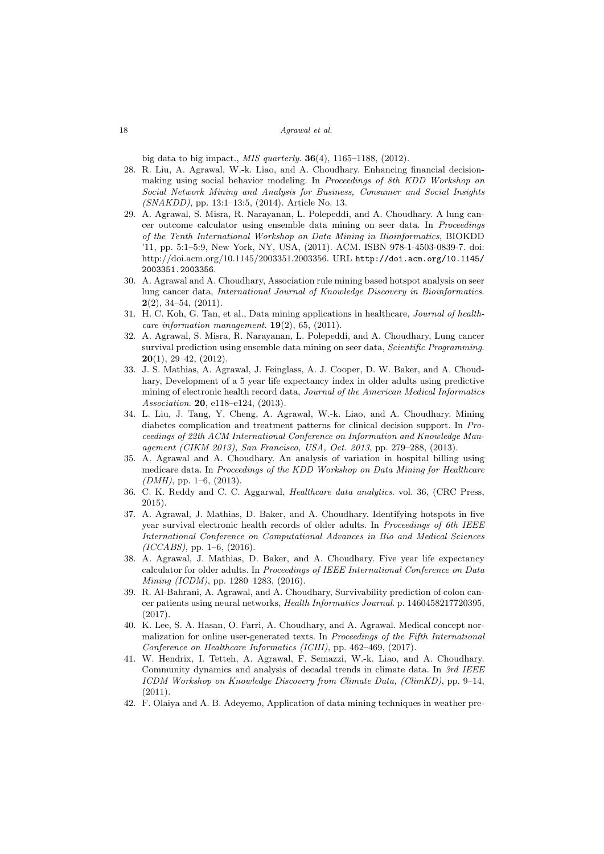big data to big impact., *MIS quarterly*. **36**(4), 1165–1188, (2012).

- 28. R. Liu, A. Agrawal, W.-k. Liao, and A. Choudhary. Enhancing financial decisionmaking using social behavior modeling. In Proceedings of 8th KDD Workshop on Social Network Mining and Analysis for Business, Consumer and Social Insights (SNAKDD), pp. 13:1–13:5, (2014). Article No. 13.
- 29. A. Agrawal, S. Misra, R. Narayanan, L. Polepeddi, and A. Choudhary. A lung cancer outcome calculator using ensemble data mining on seer data. In Proceedings of the Tenth International Workshop on Data Mining in Bioinformatics, BIOKDD '11, pp. 5:1–5:9, New York, NY, USA, (2011). ACM. ISBN 978-1-4503-0839-7. doi: http://doi.acm.org/10.1145/2003351.2003356. URL http://doi.acm.org/10.1145/ 2003351.2003356.
- 30. A. Agrawal and A. Choudhary, Association rule mining based hotspot analysis on seer lung cancer data, International Journal of Knowledge Discovery in Bioinformatics.  $2(2)$ , 34–54,  $(2011)$ .
- 31. H. C. Koh, G. Tan, et al., Data mining applications in healthcare, Journal of healthcare information management.  $19(2)$ , 65, (2011).
- 32. A. Agrawal, S. Misra, R. Narayanan, L. Polepeddi, and A. Choudhary, Lung cancer survival prediction using ensemble data mining on seer data, Scientific Programming.  $20(1)$ , 29-42, (2012).
- 33. J. S. Mathias, A. Agrawal, J. Feinglass, A. J. Cooper, D. W. Baker, and A. Choudhary, Development of a 5 year life expectancy index in older adults using predictive mining of electronic health record data, Journal of the American Medical Informatics Association. **20**, e118-e124, (2013).
- 34. L. Liu, J. Tang, Y. Cheng, A. Agrawal, W.-k. Liao, and A. Choudhary. Mining diabetes complication and treatment patterns for clinical decision support. In Proceedings of 22th ACM International Conference on Information and Knowledge Management (CIKM 2013), San Francisco, USA, Oct. 2013, pp. 279–288, (2013).
- 35. A. Agrawal and A. Choudhary. An analysis of variation in hospital billing using medicare data. In Proceedings of the KDD Workshop on Data Mining for Healthcare  $(DMH)$ , pp. 1–6, (2013).
- 36. C. K. Reddy and C. C. Aggarwal, Healthcare data analytics. vol. 36, (CRC Press, 2015).
- 37. A. Agrawal, J. Mathias, D. Baker, and A. Choudhary. Identifying hotspots in five year survival electronic health records of older adults. In Proceedings of 6th IEEE International Conference on Computational Advances in Bio and Medical Sciences  $(ICCABS)$ , pp. 1–6,  $(2016)$ .
- 38. A. Agrawal, J. Mathias, D. Baker, and A. Choudhary. Five year life expectancy calculator for older adults. In Proceedings of IEEE International Conference on Data Mining (ICDM), pp. 1280–1283, (2016).
- 39. R. Al-Bahrani, A. Agrawal, and A. Choudhary, Survivability prediction of colon cancer patients using neural networks, Health Informatics Journal. p. 1460458217720395,  $(2017)$
- 40. K. Lee, S. A. Hasan, O. Farri, A. Choudhary, and A. Agrawal. Medical concept normalization for online user-generated texts. In Proceedings of the Fifth International Conference on Healthcare Informatics (ICHI), pp. 462–469, (2017).
- 41. W. Hendrix, I. Tetteh, A. Agrawal, F. Semazzi, W.-k. Liao, and A. Choudhary. Community dynamics and analysis of decadal trends in climate data. In 3rd IEEE ICDM Workshop on Knowledge Discovery from Climate Data, (ClimKD), pp. 9–14,  $(2011).$
- 42. F. Olaiya and A. B. Adeyemo, Application of data mining techniques in weather pre-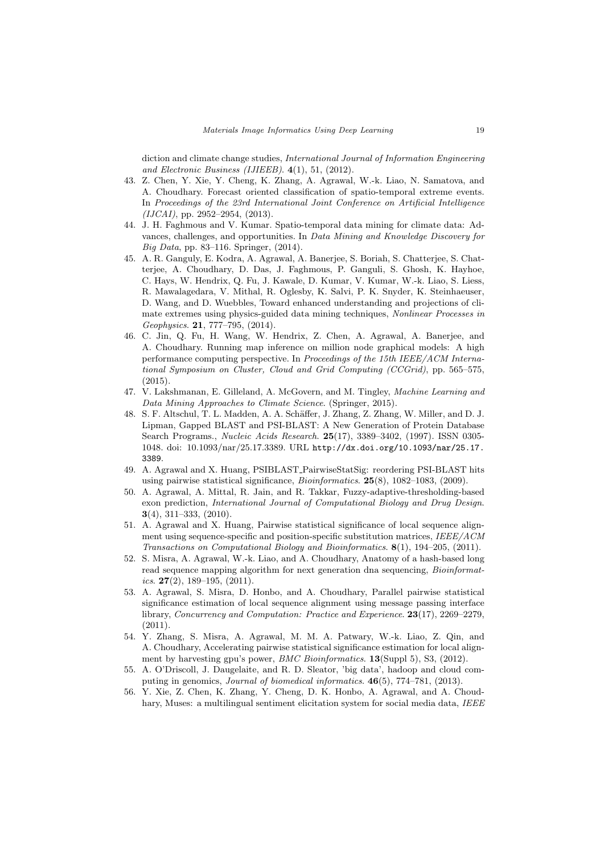diction and climate change studies, International Journal of Information Engineering and Electronic Business (IJIEEB). 4(1), 51, (2012).

- 43. Z. Chen, Y. Xie, Y. Cheng, K. Zhang, A. Agrawal, W.-k. Liao, N. Samatova, and A. Choudhary. Forecast oriented classification of spatio-temporal extreme events. In Proceedings of the 23rd International Joint Conference on Artificial Intelligence  $(IJCAI),$  pp. 2952–2954,  $(2013).$
- 44. J. H. Faghmous and V. Kumar. Spatio-temporal data mining for climate data: Advances, challenges, and opportunities. In Data Mining and Knowledge Discovery for Big Data, pp. 83–116. Springer, (2014).
- 45. A. R. Ganguly, E. Kodra, A. Agrawal, A. Banerjee, S. Boriah, S. Chatterjee, S. Chatterjee, A. Choudhary, D. Das, J. Faghmous, P. Ganguli, S. Ghosh, K. Hayhoe, C. Hays, W. Hendrix, Q. Fu, J. Kawale, D. Kumar, V. Kumar, W.-k. Liao, S. Liess, R. Mawalagedara, V. Mithal, R. Oglesby, K. Salvi, P. K. Snyder, K. Steinhaeuser, D. Wang, and D. Wuebbles, Toward enhanced understanding and projections of climate extremes using physics-guided data mining techniques, Nonlinear Processes in Geophysics. 21, 777–795, (2014).
- 46. C. Jin, Q. Fu, H. Wang, W. Hendrix, Z. Chen, A. Agrawal, A. Banerjee, and A. Choudhary. Running map inference on million node graphical models: A high performance computing perspective. In Proceedings of the 15th IEEE/ACM International Symposium on Cluster, Cloud and Grid Computing (CCGrid), pp. 565–575, (2015).
- 47. V. Lakshmanan, E. Gilleland, A. McGovern, and M. Tingley, Machine Learning and Data Mining Approaches to Climate Science. (Springer, 2015).
- 48. S. F. Altschul, T. L. Madden, A. A. Schäffer, J. Zhang, Z. Zhang, W. Miller, and D. J. Lipman, Gapped BLAST and PSI-BLAST: A New Generation of Protein Database Search Programs., Nucleic Acids Research. 25(17), 3389–3402, (1997). ISSN 0305- 1048. doi: 10.1093/nar/25.17.3389. URL http://dx.doi.org/10.1093/nar/25.17. 3389.
- 49. A. Agrawal and X. Huang, PSIBLAST PairwiseStatSig: reordering PSI-BLAST hits using pairwise statistical significance, Bioinformatics. 25(8), 1082–1083, (2009).
- 50. A. Agrawal, A. Mittal, R. Jain, and R. Takkar, Fuzzy-adaptive-thresholding-based exon prediction, International Journal of Computational Biology and Drug Design. 3(4), 311–333, (2010).
- 51. A. Agrawal and X. Huang, Pairwise statistical significance of local sequence alignment using sequence-specific and position-specific substitution matrices, IEEE/ACM Transactions on Computational Biology and Bioinformatics. 8(1), 194–205, (2011).
- 52. S. Misra, A. Agrawal, W.-k. Liao, and A. Choudhary, Anatomy of a hash-based long read sequence mapping algorithm for next generation dna sequencing, Bioinformatics.  $27(2)$ , 189-195, (2011).
- 53. A. Agrawal, S. Misra, D. Honbo, and A. Choudhary, Parallel pairwise statistical significance estimation of local sequence alignment using message passing interface library, Concurrency and Computation: Practice and Experience. 23(17), 2269–2279, (2011).
- 54. Y. Zhang, S. Misra, A. Agrawal, M. M. A. Patwary, W.-k. Liao, Z. Qin, and A. Choudhary, Accelerating pairwise statistical significance estimation for local alignment by harvesting gpu's power, BMC Bioinformatics. 13(Suppl 5), S3, (2012).
- 55. A. O'Driscoll, J. Daugelaite, and R. D. Sleator, 'big data', hadoop and cloud computing in genomics, Journal of biomedical informatics. 46(5), 774–781, (2013).
- 56. Y. Xie, Z. Chen, K. Zhang, Y. Cheng, D. K. Honbo, A. Agrawal, and A. Choudhary, Muses: a multilingual sentiment elicitation system for social media data, IEEE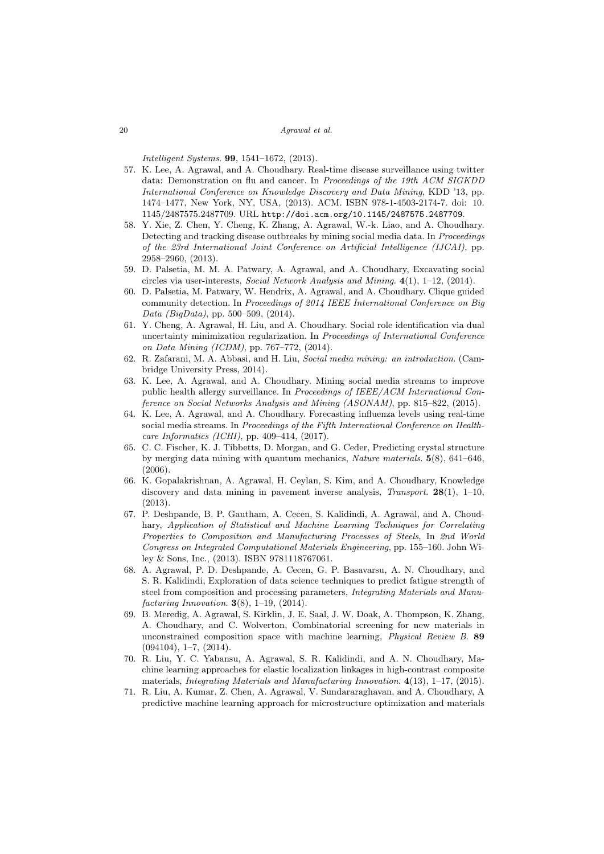Intelligent Systems. 99, 1541–1672, (2013).

- 57. K. Lee, A. Agrawal, and A. Choudhary. Real-time disease surveillance using twitter data: Demonstration on flu and cancer. In Proceedings of the 19th ACM SIGKDD International Conference on Knowledge Discovery and Data Mining, KDD '13, pp. 1474–1477, New York, NY, USA, (2013). ACM. ISBN 978-1-4503-2174-7. doi: 10. 1145/2487575.2487709. URL http://doi.acm.org/10.1145/2487575.2487709.
- 58. Y. Xie, Z. Chen, Y. Cheng, K. Zhang, A. Agrawal, W.-k. Liao, and A. Choudhary. Detecting and tracking disease outbreaks by mining social media data. In Proceedings of the 23rd International Joint Conference on Artificial Intelligence (IJCAI), pp. 2958–2960, (2013).
- 59. D. Palsetia, M. M. A. Patwary, A. Agrawal, and A. Choudhary, Excavating social circles via user-interests, Social Network Analysis and Mining. 4(1), 1–12, (2014).
- 60. D. Palsetia, M. Patwary, W. Hendrix, A. Agrawal, and A. Choudhary. Clique guided community detection. In Proceedings of 2014 IEEE International Conference on Big Data (BigData), pp. 500–509, (2014).
- 61. Y. Cheng, A. Agrawal, H. Liu, and A. Choudhary. Social role identification via dual uncertainty minimization regularization. In Proceedings of International Conference on Data Mining (ICDM), pp. 767–772, (2014).
- 62. R. Zafarani, M. A. Abbasi, and H. Liu, Social media mining: an introduction. (Cambridge University Press, 2014).
- 63. K. Lee, A. Agrawal, and A. Choudhary. Mining social media streams to improve public health allergy surveillance. In Proceedings of IEEE/ACM International Conference on Social Networks Analysis and Mining (ASONAM), pp. 815–822, (2015).
- 64. K. Lee, A. Agrawal, and A. Choudhary. Forecasting influenza levels using real-time social media streams. In Proceedings of the Fifth International Conference on Healthcare Informatics (ICHI), pp. 409–414, (2017).
- 65. C. C. Fischer, K. J. Tibbetts, D. Morgan, and G. Ceder, Predicting crystal structure by merging data mining with quantum mechanics, Nature materials. 5(8), 641–646, (2006).
- 66. K. Gopalakrishnan, A. Agrawal, H. Ceylan, S. Kim, and A. Choudhary, Knowledge discovery and data mining in pavement inverse analysis, *Transport.*  $28(1)$ ,  $1-10$ , (2013).
- 67. P. Deshpande, B. P. Gautham, A. Cecen, S. Kalidindi, A. Agrawal, and A. Choudhary, Application of Statistical and Machine Learning Techniques for Correlating Properties to Composition and Manufacturing Processes of Steels, In 2nd World Congress on Integrated Computational Materials Engineering, pp. 155–160. John Wiley & Sons, Inc., (2013). ISBN 9781118767061.
- 68. A. Agrawal, P. D. Deshpande, A. Cecen, G. P. Basavarsu, A. N. Choudhary, and S. R. Kalidindi, Exploration of data science techniques to predict fatigue strength of steel from composition and processing parameters, Integrating Materials and Manufacturing Innovation.  $3(8)$ , 1–19, (2014).
- 69. B. Meredig, A. Agrawal, S. Kirklin, J. E. Saal, J. W. Doak, A. Thompson, K. Zhang, A. Choudhary, and C. Wolverton, Combinatorial screening for new materials in unconstrained composition space with machine learning, Physical Review B. 89 (094104), 1–7, (2014).
- 70. R. Liu, Y. C. Yabansu, A. Agrawal, S. R. Kalidindi, and A. N. Choudhary, Machine learning approaches for elastic localization linkages in high-contrast composite materials, Integrating Materials and Manufacturing Innovation. 4(13), 1–17, (2015).
- 71. R. Liu, A. Kumar, Z. Chen, A. Agrawal, V. Sundararaghavan, and A. Choudhary, A predictive machine learning approach for microstructure optimization and materials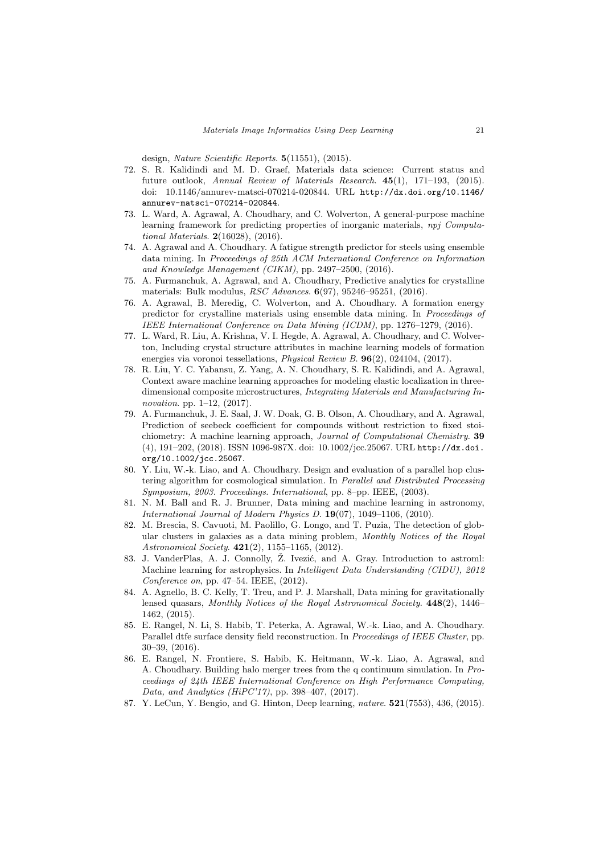design, Nature Scientific Reports. 5(11551), (2015).

- 72. S. R. Kalidindi and M. D. Graef, Materials data science: Current status and future outlook, Annual Review of Materials Research. 45(1), 171–193, (2015). doi: 10.1146/annurev-matsci-070214-020844. URL http://dx.doi.org/10.1146/ annurev-matsci-070214-020844.
- 73. L. Ward, A. Agrawal, A. Choudhary, and C. Wolverton, A general-purpose machine learning framework for predicting properties of inorganic materials, npj Computational Materials. 2(16028), (2016).
- 74. A. Agrawal and A. Choudhary. A fatigue strength predictor for steels using ensemble data mining. In Proceedings of 25th ACM International Conference on Information and Knowledge Management (CIKM), pp. 2497–2500, (2016).
- 75. A. Furmanchuk, A. Agrawal, and A. Choudhary, Predictive analytics for crystalline materials: Bulk modulus, RSC Advances. 6(97), 95246–95251, (2016).
- 76. A. Agrawal, B. Meredig, C. Wolverton, and A. Choudhary. A formation energy predictor for crystalline materials using ensemble data mining. In Proceedings of IEEE International Conference on Data Mining (ICDM), pp. 1276–1279, (2016).
- 77. L. Ward, R. Liu, A. Krishna, V. I. Hegde, A. Agrawal, A. Choudhary, and C. Wolverton, Including crystal structure attributes in machine learning models of formation energies via voronoi tessellations, Physical Review B. 96(2), 024104, (2017).
- 78. R. Liu, Y. C. Yabansu, Z. Yang, A. N. Choudhary, S. R. Kalidindi, and A. Agrawal, Context aware machine learning approaches for modeling elastic localization in threedimensional composite microstructures, Integrating Materials and Manufacturing Innovation. pp. 1–12, (2017).
- 79. A. Furmanchuk, J. E. Saal, J. W. Doak, G. B. Olson, A. Choudhary, and A. Agrawal, Prediction of seebeck coefficient for compounds without restriction to fixed stoichiometry: A machine learning approach, Journal of Computational Chemistry. 39 (4), 191–202, (2018). ISSN 1096-987X. doi: 10.1002/jcc.25067. URL http://dx.doi. org/10.1002/jcc.25067.
- 80. Y. Liu, W.-k. Liao, and A. Choudhary. Design and evaluation of a parallel hop clustering algorithm for cosmological simulation. In Parallel and Distributed Processing Symposium, 2003. Proceedings. International, pp. 8-pp. IEEE, (2003).
- 81. N. M. Ball and R. J. Brunner, Data mining and machine learning in astronomy, International Journal of Modern Physics D. 19(07), 1049–1106, (2010).
- 82. M. Brescia, S. Cavuoti, M. Paolillo, G. Longo, and T. Puzia, The detection of globular clusters in galaxies as a data mining problem, Monthly Notices of the Royal Astronomical Society. 421(2), 1155–1165, (2012).
- 83. J. VanderPlas, A. J. Connolly, Ž. Ivezić, and A. Gray. Introduction to astroml: Machine learning for astrophysics. In Intelligent Data Understanding (CIDU), 2012 Conference on, pp. 47–54. IEEE, (2012).
- 84. A. Agnello, B. C. Kelly, T. Treu, and P. J. Marshall, Data mining for gravitationally lensed quasars, Monthly Notices of the Royal Astronomical Society. 448(2), 1446– 1462, (2015).
- 85. E. Rangel, N. Li, S. Habib, T. Peterka, A. Agrawal, W.-k. Liao, and A. Choudhary. Parallel dtfe surface density field reconstruction. In *Proceedings of IEEE Cluster*, pp. 30–39, (2016).
- 86. E. Rangel, N. Frontiere, S. Habib, K. Heitmann, W.-k. Liao, A. Agrawal, and A. Choudhary. Building halo merger trees from the q continuum simulation. In Proceedings of 24th IEEE International Conference on High Performance Computing, Data, and Analytics (HiPC'17), pp. 398–407, (2017).
- 87. Y. LeCun, Y. Bengio, and G. Hinton, Deep learning, nature. 521(7553), 436, (2015).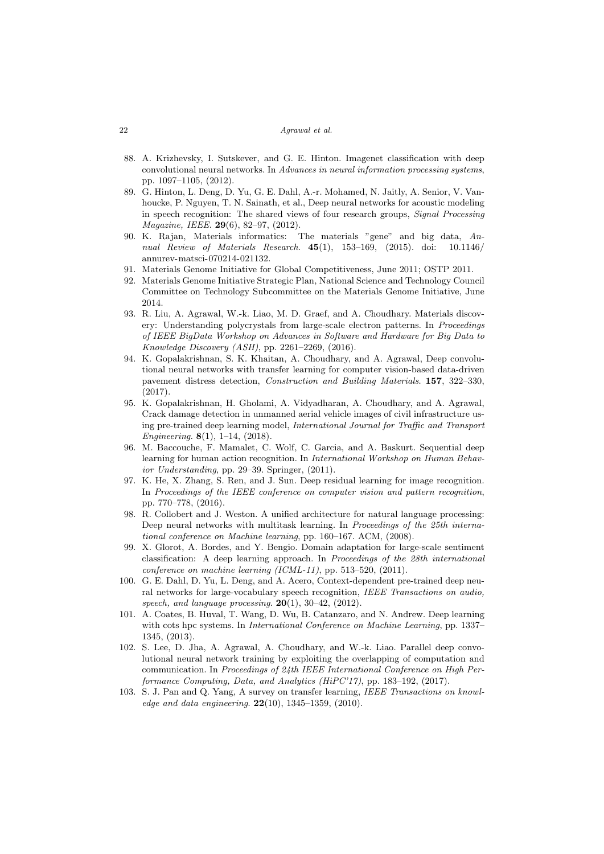- 88. A. Krizhevsky, I. Sutskever, and G. E. Hinton. Imagenet classification with deep convolutional neural networks. In Advances in neural information processing systems, pp. 1097–1105, (2012).
- 89. G. Hinton, L. Deng, D. Yu, G. E. Dahl, A.-r. Mohamed, N. Jaitly, A. Senior, V. Vanhoucke, P. Nguyen, T. N. Sainath, et al., Deep neural networks for acoustic modeling in speech recognition: The shared views of four research groups, Signal Processing Magazine, IEEE. 29(6), 82–97, (2012).
- 90. K. Rajan, Materials informatics: The materials "gene" and big data, Annual Review of Materials Research. 45(1), 153–169, (2015). doi: 10.1146/ annurev-matsci-070214-021132.
- 91. Materials Genome Initiative for Global Competitiveness, June 2011; OSTP 2011.
- 92. Materials Genome Initiative Strategic Plan, National Science and Technology Council Committee on Technology Subcommittee on the Materials Genome Initiative, June 2014.
- 93. R. Liu, A. Agrawal, W.-k. Liao, M. D. Graef, and A. Choudhary. Materials discovery: Understanding polycrystals from large-scale electron patterns. In Proceedings of IEEE BigData Workshop on Advances in Software and Hardware for Big Data to Knowledge Discovery (ASH), pp. 2261–2269, (2016).
- 94. K. Gopalakrishnan, S. K. Khaitan, A. Choudhary, and A. Agrawal, Deep convolutional neural networks with transfer learning for computer vision-based data-driven pavement distress detection, Construction and Building Materials. 157, 322–330, (2017).
- 95. K. Gopalakrishnan, H. Gholami, A. Vidyadharan, A. Choudhary, and A. Agrawal, Crack damage detection in unmanned aerial vehicle images of civil infrastructure using pre-trained deep learning model, International Journal for Traffic and Transport Engineering.  $8(1)$ , 1–14, (2018).
- 96. M. Baccouche, F. Mamalet, C. Wolf, C. Garcia, and A. Baskurt. Sequential deep learning for human action recognition. In International Workshop on Human Behavior Understanding, pp. 29–39. Springer, (2011).
- 97. K. He, X. Zhang, S. Ren, and J. Sun. Deep residual learning for image recognition. In Proceedings of the IEEE conference on computer vision and pattern recognition, pp. 770–778, (2016).
- 98. R. Collobert and J. Weston. A unified architecture for natural language processing: Deep neural networks with multitask learning. In Proceedings of the 25th international conference on Machine learning, pp. 160–167. ACM, (2008).
- 99. X. Glorot, A. Bordes, and Y. Bengio. Domain adaptation for large-scale sentiment classification: A deep learning approach. In Proceedings of the 28th international conference on machine learning (ICML-11), pp. 513–520, (2011).
- 100. G. E. Dahl, D. Yu, L. Deng, and A. Acero, Context-dependent pre-trained deep neural networks for large-vocabulary speech recognition, IEEE Transactions on audio, speech, and language processing.  $20(1)$ ,  $30-42$ ,  $(2012)$ .
- 101. A. Coates, B. Huval, T. Wang, D. Wu, B. Catanzaro, and N. Andrew. Deep learning with cots hpc systems. In *International Conference on Machine Learning*, pp. 1337– 1345, (2013).
- 102. S. Lee, D. Jha, A. Agrawal, A. Choudhary, and W.-k. Liao. Parallel deep convolutional neural network training by exploiting the overlapping of computation and communication. In Proceedings of 24th IEEE International Conference on High Performance Computing, Data, and Analytics (HiPC'17), pp. 183–192, (2017).
- 103. S. J. Pan and Q. Yang, A survey on transfer learning, IEEE Transactions on knowledge and data engineering.  $22(10)$ , 1345-1359, (2010).